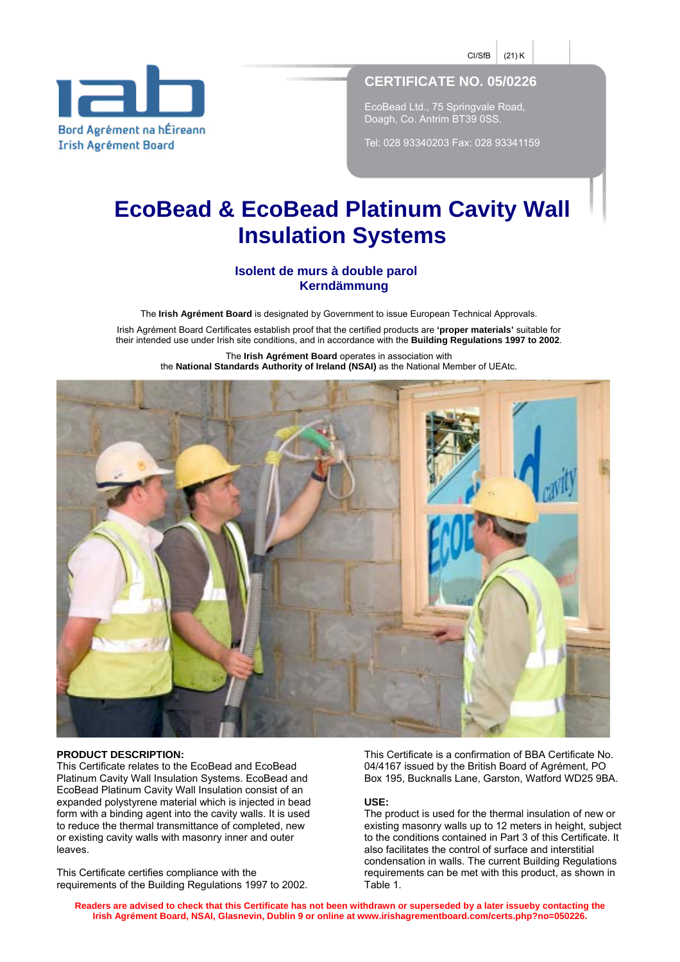$C\text{l/sfB}$  (21) K



# **CERTIFICATE NO. 05/0226**

EcoBead Ltd., 75 Springvale Road, Doagh, Co. Antrim BT39 0SS.

Tel: 028 93340203 Fax: 028 93341159

# **EcoBead & EcoBead Platinum Cavity Wall Insulation Systems**

# **Isolent de murs à double parol Kerndämmung**

The **Irish Agrément Board** is designated by Government to issue European Technical Approvals.

Irish Agrément Board Certificates establish proof that the certified products are 'proper materials' suitable for their intended use under Irish site conditions, and in accordance with the **Building Regulations 1997 to 2002**.

The **Irish Agrément Board** operates in association with the **National Standards Authority of Ireland (NSAI)** as the National Member of UEAtc.



#### **PRODUCT DESCRIPTION:**

This Certificate relates to the EcoBead and EcoBead Platinum Cavity Wall Insulation Systems. EcoBead and EcoBead Platinum Cavity Wall Insulation consist of an expanded polystyrene material which is injected in bead form with a binding agent into the cavity walls. It is used to reduce the thermal transmittance of completed, new or existing cavity walls with masonry inner and outer leaves.

This Certificate certifies compliance with the requirements of the Building Regulations 1997 to 2002. This Certificate is a confirmation of BBA Certificate No. 04/4167 issued by the British Board of Agrément, PO Box 195, Bucknalls Lane, Garston, Watford WD25 9BA.

#### **USE:**

The product is used for the thermal insulation of new or existing masonry walls up to 12 meters in height, subject to the conditions contained in Part 3 of this Certificate. It also facilitates the control of surface and interstitial condensation in walls. The current Building Regulations requirements can be met with this product, as shown in Table 1.

**Readers are advised to check that this Certificate has not been withdrawn or superseded by a later issueby contacting the Irish Agrément Board, NSAI, Glasnevin, Dublin 9 or online at www.irishagrementboard.com/certs.php?no=050226.**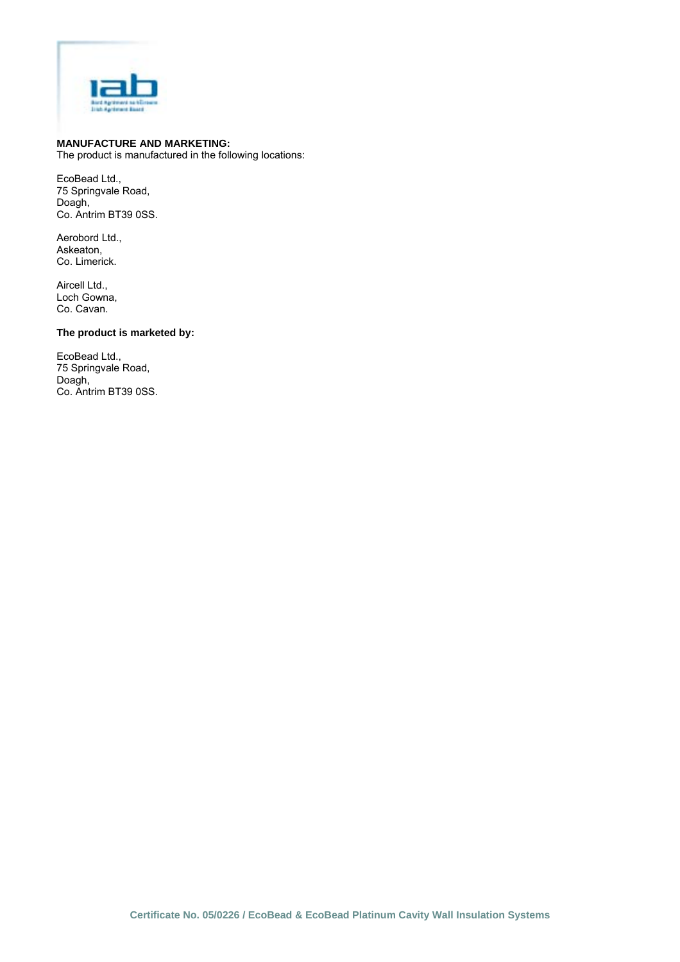

# **MANUFACTURE AND MARKETING:**

The product is manufactured in the following locations:

EcoBead Ltd., 75 Springvale Road, Doagh, Co. Antrim BT39 0SS.

Aerobord Ltd., Askeaton, Co. Limerick.

Aircell Ltd., Loch Gowna, Co. Cavan.

# **The product is marketed by:**

EcoBead Ltd., 75 Springvale Road, Doagh, Co. Antrim BT39 0SS.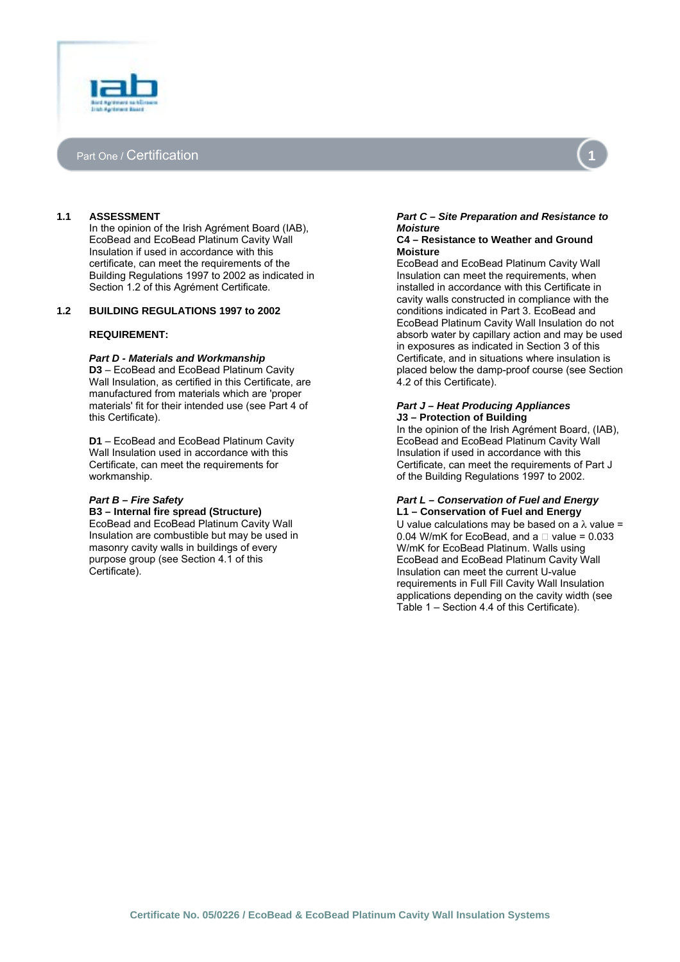



# **1.1 ASSESSMENT**

In the opinion of the Irish Agrément Board (IAB), EcoBead and EcoBead Platinum Cavity Wall Insulation if used in accordance with this certificate, can meet the requirements of the Building Regulations 1997 to 2002 as indicated in Section 1.2 of this Agrément Certificate.

#### **1.2 BUILDING REGULATIONS 1997 to 2002**

#### **REQUIREMENT:**

#### *Part D - Materials and Workmanship*

**D3** – EcoBead and EcoBead Platinum Cavity Wall Insulation, as certified in this Certificate, are manufactured from materials which are 'proper materials' fit for their intended use (see Part 4 of this Certificate).

**D1** – EcoBead and EcoBead Platinum Cavity Wall Insulation used in accordance with this Certificate, can meet the requirements for workmanship.

#### *Part B – Fire Safety*

**B3 – Internal fire spread (Structure)**  EcoBead and EcoBead Platinum Cavity Wall Insulation are combustible but may be used in masonry cavity walls in buildings of every purpose group (see Section 4.1 of this Certificate).

#### *Part C – Site Preparation and Resistance to Moisture*

#### **C4 – Resistance to Weather and Ground Moisture**

EcoBead and EcoBead Platinum Cavity Wall Insulation can meet the requirements, when installed in accordance with this Certificate in cavity walls constructed in compliance with the conditions indicated in Part 3. EcoBead and EcoBead Platinum Cavity Wall Insulation do not absorb water by capillary action and may be used in exposures as indicated in Section 3 of this Certificate, and in situations where insulation is placed below the damp-proof course (see Section 4.2 of this Certificate).

#### *Part J – Heat Producing Appliances*  **J3 – Protection of Building**

In the opinion of the Irish Agrément Board, (IAB), EcoBead and EcoBead Platinum Cavity Wall Insulation if used in accordance with this Certificate, can meet the requirements of Part J of the Building Regulations 1997 to 2002.

#### *Part L – Conservation of Fuel and Energy* **L1 – Conservation of Fuel and Energy**

U value calculations may be based on a  $\lambda$  value = 0.04 W/mK for EcoBead, and a value = 0.033 W/mK for EcoBead Platinum. Walls using EcoBead and EcoBead Platinum Cavity Wall Insulation can meet the current U-value requirements in Full Fill Cavity Wall Insulation applications depending on the cavity width (see Table  $1 -$  Section 4.4 of this Certificate).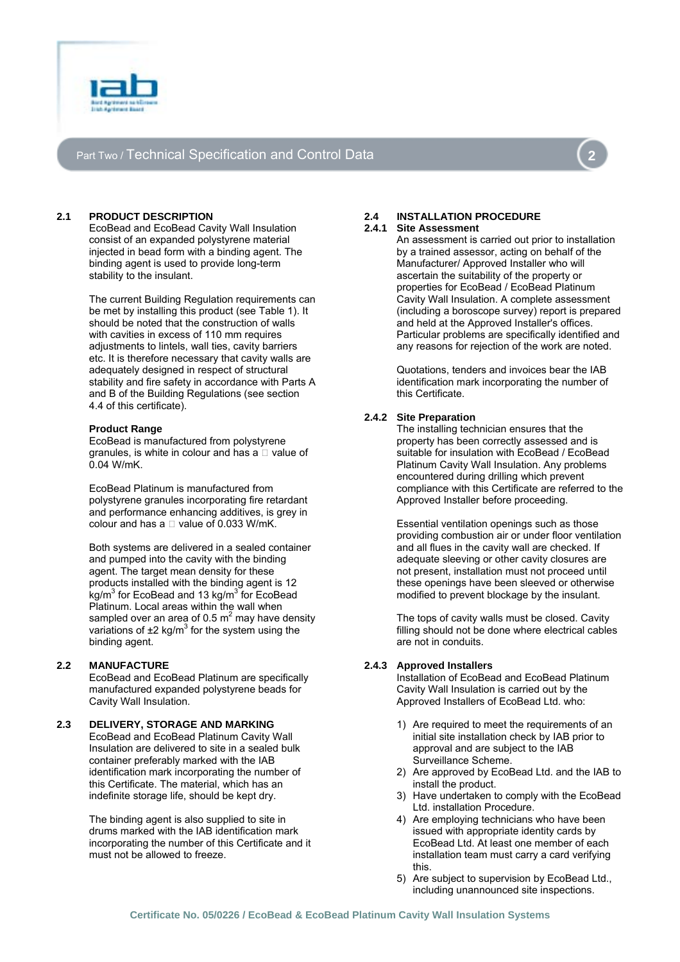

# Part Two / Technical Specification and Control Data



# **2.1 PRODUCT DESCRIPTION**

EcoBead and EcoBead Cavity Wall Insulation consist of an expanded polystyrene material injected in bead form with a binding agent. The binding agent is used to provide long-term stability to the insulant.

The current Building Regulation requirements can be met by installing this product (see Table 1). It should be noted that the construction of walls with cavities in excess of 110 mm requires adiustments to lintels, wall ties, cavity barriers etc. It is therefore necessary that cavity walls are adequately designed in respect of structural stability and fire safety in accordance with Parts A and B of the Building Regulations (see section 4.4 of this certificate).

#### **Product Range**

EcoBead is manufactured from polystyrene granules, is white in colour and has a value of 0.04 W/mK.

EcoBead Platinum is manufactured from polystyrene granules incorporating fire retardant and performance enhancing additives, is grey in colour and has a value of 0.033 W/mK.

Both systems are delivered in a sealed container and pumped into the cavity with the binding agent. The target mean density for these products installed with the binding agent is 12 .<br>kg/m<sup>3</sup> for EcoBead and 13 kg/m<sup>3</sup> for EcoBead Platinum. Local areas within the wall when sampled over an area of 0.5  $m^2$  may have density variations of  $\pm 2$  kg/m<sup>3</sup> for the system using the binding agent.

# **2.2 MANUFACTURE**

EcoBead and EcoBead Platinum are specifically manufactured expanded polystyrene beads for Cavity Wall Insulation.

# **2.3 DELIVERY, STORAGE AND MARKING**

EcoBead and EcoBead Platinum Cavity Wall Insulation are delivered to site in a sealed bulk container preferably marked with the IAB identification mark incorporating the number of this Certificate. The material, which has an indefinite storage life, should be kept dry.

The binding agent is also supplied to site in drums marked with the IAB identification mark incorporating the number of this Certificate and it must not be allowed to freeze.

# **2.4 INSTALLATION PROCEDURE**

#### **2.4.1 Site Assessment**

An assessment is carried out prior to installation by a trained assessor, acting on behalf of the Manufacturer/ Approved Installer who will ascertain the suitability of the property or properties for EcoBead / EcoBead Platinum Cavity Wall Insulation. A complete assessment (including a boroscope survey) report is prepared and held at the Approved Installer's offices. Particular problems are specifically identified and any reasons for rejection of the work are noted.

Quotations, tenders and invoices bear the IAB identification mark incorporating the number of this Certificate.

# **2.4.2 Site Preparation**

The installing technician ensures that the property has been correctly assessed and is suitable for insulation with EcoBead / EcoBead Platinum Cavity Wall Insulation. Any problems encountered during drilling which prevent compliance with this Certificate are referred to the Approved Installer before proceeding.

Essential ventilation openings such as those providing combustion air or under floor ventilation and all flues in the cavity wall are checked. If adequate sleeving or other cavity closures are not present, installation must not proceed until these openings have been sleeved or otherwise modified to prevent blockage by the insulant.

The tops of cavity walls must be closed. Cavity filling should not be done where electrical cables are not in conduits.

# **2.4.3 Approved Installers**

Installation of EcoBead and EcoBead Platinum Cavity Wall Insulation is carried out by the Approved Installers of EcoBead Ltd. who:

- 1) Are required to meet the requirements of an initial site installation check by IAB prior to approval and are subject to the IAB Surveillance Scheme.
- 2) Are approved by EcoBead Ltd. and the IAB to install the product.
- 3) Have undertaken to comply with the EcoBead Ltd. installation Procedure.
- 4) Are employing technicians who have been issued with appropriate identity cards by EcoBead Ltd. At least one member of each installation team must carry a card verifying this.
- 5) Are subject to supervision by EcoBead Ltd., including unannounced site inspections.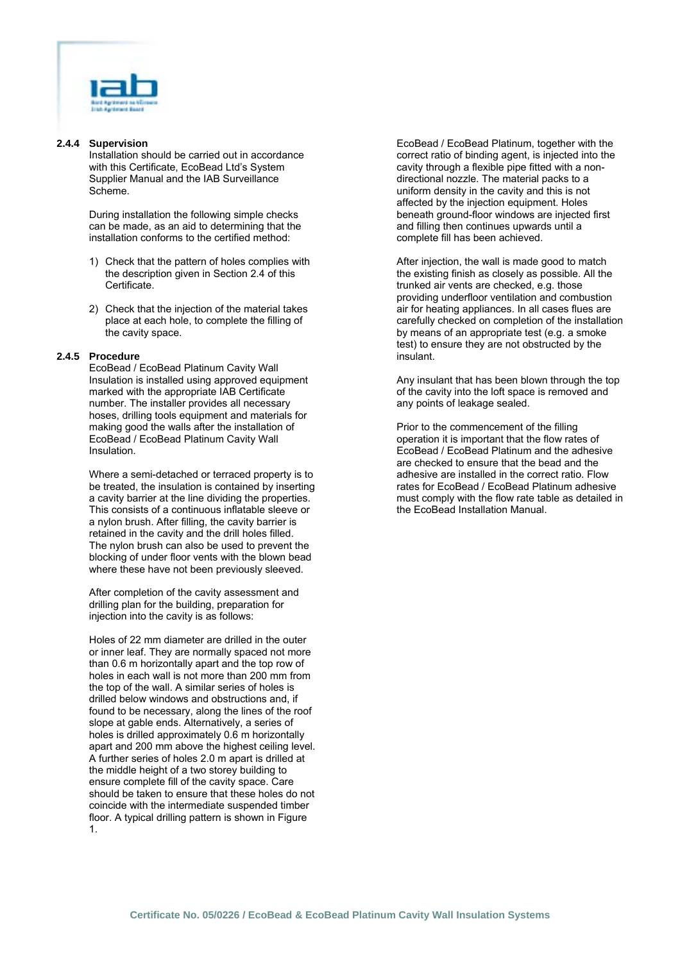

#### **2.4.4 Supervision**

Installation should be carried out in accordance with this Certificate, EcoBead Ltd's System Supplier Manual and the IAB Surveillance Scheme.

During installation the following simple checks can be made, as an aid to determining that the installation conforms to the certified method:

- 1) Check that the pattern of holes complies with the description given in Section 2.4 of this Certificate.
- 2) Check that the injection of the material takes place at each hole, to complete the filling of the cavity space.

#### **2.4.5 Procedure**

EcoBead / EcoBead Platinum Cavity Wall Insulation is installed using approved equipment marked with the appropriate IAB Certificate number. The installer provides all necessary hoses, drilling tools equipment and materials for making good the walls after the installation of EcoBead / EcoBead Platinum Cavity Wall Insulation.

Where a semi-detached or terraced property is to be treated, the insulation is contained by inserting a cavity barrier at the line dividing the properties. This consists of a continuous inflatable sleeve or a nylon brush. After filling, the cavity barrier is retained in the cavity and the drill holes filled. The nylon brush can also be used to prevent the blocking of under floor vents with the blown bead where these have not been previously sleeved.

After completion of the cavity assessment and drilling plan for the building, preparation for injection into the cavity is as follows:

Holes of 22 mm diameter are drilled in the outer or inner leaf. They are normally spaced not more than 0.6 m horizontally apart and the top row of holes in each wall is not more than 200 mm from the top of the wall. A similar series of holes is drilled below windows and obstructions and, if found to be necessary, along the lines of the roof slope at gable ends. Alternatively, a series of holes is drilled approximately 0.6 m horizontally apart and 200 mm above the highest ceiling level. A further series of holes 2.0 m apart is drilled at the middle height of a two storey building to ensure complete fill of the cavity space. Care should be taken to ensure that these holes do not coincide with the intermediate suspended timber floor. A typical drilling pattern is shown in Figure 1.

EcoBead / EcoBead Platinum, together with the correct ratio of binding agent, is injected into the cavity through a flexible pipe fitted with a nondirectional nozzle. The material packs to a uniform density in the cavity and this is not affected by the injection equipment. Holes beneath ground-floor windows are injected first and filling then continues upwards until a complete fill has been achieved.

After injection, the wall is made good to match the existing finish as closely as possible. All the trunked air vents are checked, e.g. those providing underfloor ventilation and combustion air for heating appliances. In all cases flues are carefully checked on completion of the installation by means of an appropriate test (e.g. a smoke test) to ensure they are not obstructed by the insulant.

Any insulant that has been blown through the top of the cavity into the loft space is removed and any points of leakage sealed.

Prior to the commencement of the filling operation it is important that the flow rates of EcoBead / EcoBead Platinum and the adhesive are checked to ensure that the bead and the adhesive are installed in the correct ratio. Flow rates for EcoBead / EcoBead Platinum adhesive must comply with the flow rate table as detailed in the EcoBead Installation Manual.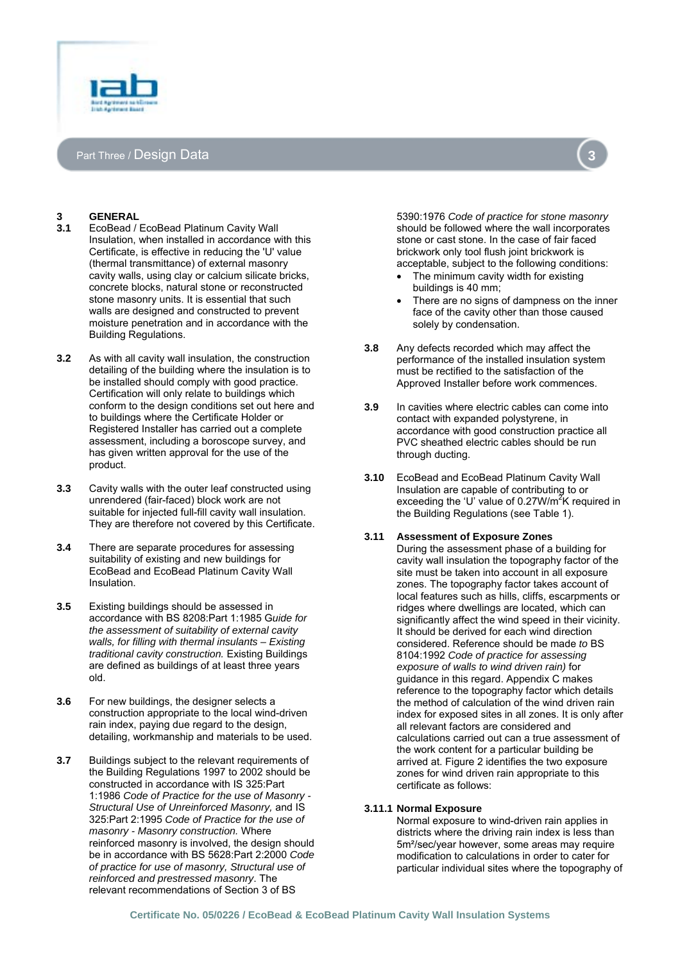



# **3 GENERAL**

- **3.1** EcoBead / EcoBead Platinum Cavity Wall Insulation, when installed in accordance with this Certificate, is effective in reducing the 'U' value (thermal transmittance) of external masonry cavity walls, using clay or calcium silicate bricks, concrete blocks, natural stone or reconstructed stone masonry units. It is essential that such walls are designed and constructed to prevent moisture penetration and in accordance with the Building Regulations.
- **3.2** As with all cavity wall insulation, the construction detailing of the building where the insulation is to be installed should comply with good practice. Certification will only relate to buildings which conform to the design conditions set out here and to buildings where the Certificate Holder or Registered Installer has carried out a complete assessment, including a boroscope survey, and has given written approval for the use of the product.
- **3.3** Cavity walls with the outer leaf constructed using unrendered (fair-faced) block work are not suitable for injected full-fill cavity wall insulation. They are therefore not covered by this Certificate.
- **3.4** There are separate procedures for assessing suitability of existing and new buildings for EcoBead and EcoBead Platinum Cavity Wall Insulation.
- **3.5** Existing buildings should be assessed in accordance with BS 8208:Part 1:1985 G*uide for the assessment of suitability of external cavity walls, for filling with thermal insulants – Existing traditional cavity construction.* Existing Buildings are defined as buildings of at least three years old.
- **3.6** For new buildings, the designer selects a construction appropriate to the local wind-driven rain index, paying due regard to the design, detailing, workmanship and materials to be used.
- **3.7** Buildings subject to the relevant requirements of the Building Regulations 1997 to 2002 should be constructed in accordance with IS 325:Part 1:1986 *Code of Practice for the use of Masonry - Structural Use of Unreinforced Masonry,* and IS 325:Part 2:1995 *Code of Practice for the use of masonry - Masonry construction.* Where reinforced masonry is involved, the design should be in accordance with BS 5628:Part 2:2000 *Code of practice for use of masonry, Structural use of reinforced and prestressed masonry*. The relevant recommendations of Section 3 of BS

5390:1976 *Code of practice for stone masonry*  should be followed where the wall incorporates stone or cast stone. In the case of fair faced brickwork only tool flush joint brickwork is acceptable, subject to the following conditions:

- The minimum cavity width for existing buildings is 40 mm;
- There are no signs of dampness on the inner face of the cavity other than those caused solely by condensation.
- **3.8** Any defects recorded which may affect the performance of the installed insulation system must be rectified to the satisfaction of the Approved Installer before work commences.
- **3.9** In cavities where electric cables can come into contact with expanded polystyrene, in accordance with good construction practice all PVC sheathed electric cables should be run through ducting.
- **3.10** EcoBead and EcoBead Platinum Cavity Wall Insulation are capable of contributing to or exceeding the 'U' value of 0.27W/m<sup>2</sup>K required in the Building Regulations (see Table 1).

# **3.11 Assessment of Exposure Zones**

During the assessment phase of a building for cavity wall insulation the topography factor of the site must be taken into account in all exposure zones. The topography factor takes account of local features such as hills, cliffs, escarpments or ridges where dwellings are located, which can significantly affect the wind speed in their vicinity. It should be derived for each wind direction considered. Reference should be made *to* BS 8104:1992 *Code of practice for assessing exposure of walls to wind driven rain)* for guidance in this regard. Appendix C makes reference to the topography factor which details the method of calculation of the wind driven rain index for exposed sites in all zones. It is only after all relevant factors are considered and calculations carried out can a true assessment of the work content for a particular building be arrived at. Figure 2 identifies the two exposure zones for wind driven rain appropriate to this certificate as follows:

# **3.11.1 Normal Exposure**

Normal exposure to wind-driven rain applies in districts where the driving rain index is less than 5m²/sec/year however, some areas may require modification to calculations in order to cater for particular individual sites where the topography of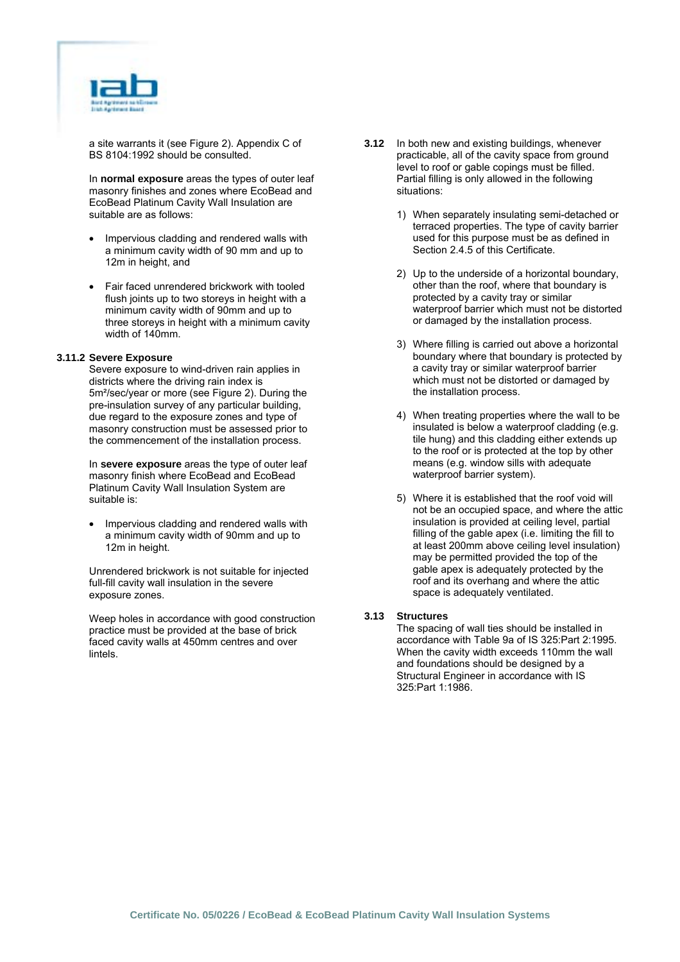

a site warrants it (see Figure 2). Appendix C of BS 8104:1992 should be consulted.

In **normal exposure** areas the types of outer leaf masonry finishes and zones where EcoBead and EcoBead Platinum Cavity Wall Insulation are suitable are as follows:

- Impervious cladding and rendered walls with a minimum cavity width of 90 mm and up to 12m in height, and
- Fair faced unrendered brickwork with tooled flush joints up to two storeys in height with a minimum cavity width of 90mm and up to three storeys in height with a minimum cavity width of 140mm.

#### **3.11.2 Severe Exposure**

Severe exposure to wind-driven rain applies in districts where the driving rain index is 5m²/sec/year or more (see Figure 2). During the pre-insulation survey of any particular building, due regard to the exposure zones and type of masonry construction must be assessed prior to the commencement of the installation process.

In **severe exposure** areas the type of outer leaf masonry finish where EcoBead and EcoBead Platinum Cavity Wall Insulation System are suitable is:

• Impervious cladding and rendered walls with a minimum cavity width of 90mm and up to 12m in height.

Unrendered brickwork is not suitable for injected full-fill cavity wall insulation in the severe exposure zones.

Weep holes in accordance with good construction practice must be provided at the base of brick faced cavity walls at 450mm centres and over lintels.

- **3.12** In both new and existing buildings, whenever practicable, all of the cavity space from ground level to roof or gable copings must be filled. Partial filling is only allowed in the following situations:
	- 1) When separately insulating semi-detached or terraced properties. The type of cavity barrier used for this purpose must be as defined in Section 2.4.5 of this Certificate.
	- 2) Up to the underside of a horizontal boundary, other than the roof, where that boundary is protected by a cavity tray or similar waterproof barrier which must not be distorted or damaged by the installation process.
	- 3) Where filling is carried out above a horizontal boundary where that boundary is protected by a cavity tray or similar waterproof barrier which must not be distorted or damaged by the installation process.
	- 4) When treating properties where the wall to be insulated is below a waterproof cladding (e.g. tile hung) and this cladding either extends up to the roof or is protected at the top by other means (e.g. window sills with adequate waterproof barrier system).
	- 5) Where it is established that the roof void will not be an occupied space, and where the attic insulation is provided at ceiling level, partial filling of the gable apex (i.e. limiting the fill to at least 200mm above ceiling level insulation) may be permitted provided the top of the gable apex is adequately protected by the roof and its overhang and where the attic space is adequately ventilated.

#### **3.13 Structures**

The spacing of wall ties should be installed in accordance with Table 9a of IS 325:Part 2:1995. When the cavity width exceeds 110mm the wall and foundations should be designed by a Structural Engineer in accordance with IS 325:Part 1:1986.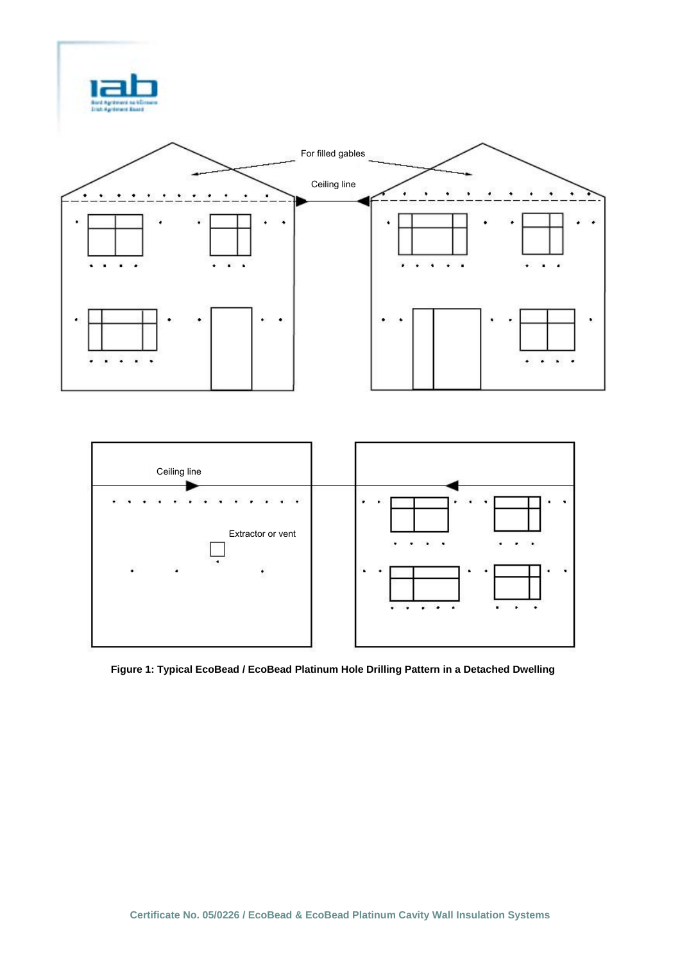



**Figure 1: Typical EcoBead / EcoBead Platinum Hole Drilling Pattern in a Detached Dwelling**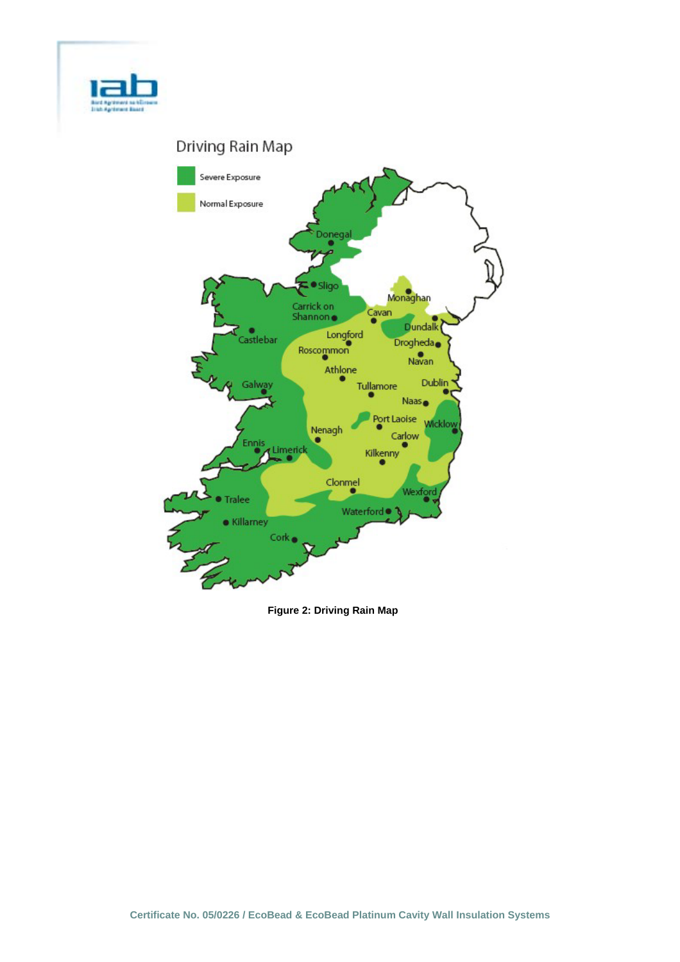

# Driving Rain Map



**Figure 2: Driving Rain Map**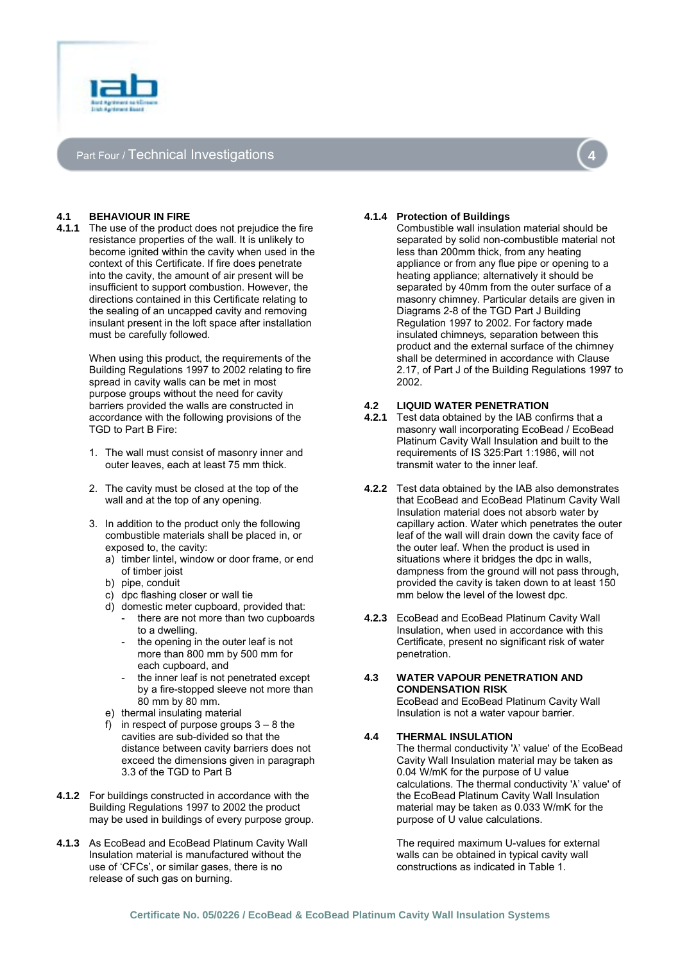

# Part Four / Technical Investigations



# **4.1 BEHAVIOUR IN FIRE**

**4.1.1** The use of the product does not prejudice the fire resistance properties of the wall. It is unlikely to become ignited within the cavity when used in the context of this Certificate. If fire does penetrate into the cavity, the amount of air present will be insufficient to support combustion. However, the directions contained in this Certificate relating to the sealing of an uncapped cavity and removing insulant present in the loft space after installation must be carefully followed.

> When using this product, the requirements of the Building Regulations 1997 to 2002 relating to fire spread in cavity walls can be met in most purpose groups without the need for cavity barriers provided the walls are constructed in accordance with the following provisions of the TGD to Part B Fire:

- 1. The wall must consist of masonry inner and outer leaves, each at least 75 mm thick.
- 2. The cavity must be closed at the top of the wall and at the top of any opening.
- 3. In addition to the product only the following combustible materials shall be placed in, or exposed to, the cavity:
	- a) timber lintel, window or door frame, or end of timber joist
	- b) pipe, conduit
	- c) dpc flashing closer or wall tie
	- d) domestic meter cupboard, provided that:
	- there are not more than two cupboards to a dwelling.
		- the opening in the outer leaf is not more than 800 mm by 500 mm for each cupboard, and
		- the inner leaf is not penetrated except by a fire-stopped sleeve not more than 80 mm by 80 mm.
	- e) thermal insulating material
	- in respect of purpose groups  $3 8$  the cavities are sub-divided so that the distance between cavity barriers does not exceed the dimensions given in paragraph 3.3 of the TGD to Part B
- **4.1.2** For buildings constructed in accordance with the Building Regulations 1997 to 2002 the product may be used in buildings of every purpose group.
- **4.1.3** As EcoBead and EcoBead Platinum Cavity Wall Insulation material is manufactured without the use of 'CFCs', or similar gases, there is no release of such gas on burning.

#### **4.1.4 Protection of Buildings**

Combustible wall insulation material should be separated by solid non-combustible material not less than 200mm thick, from any heating appliance or from any flue pipe or opening to a heating appliance; alternatively it should be separated by 40mm from the outer surface of a masonry chimney. Particular details are given in Diagrams 2-8 of the TGD Part J Building Regulation 1997 to 2002. For factory made insulated chimneys*,* separation between this product and the external surface of the chimney shall be determined in accordance with Clause 2.17, of Part J of the Building Regulations 1997 to 2002.

#### **4.2 LIQUID WATER PENETRATION**

- **4.2.1** Test data obtained by the IAB confirms that a masonry wall incorporating EcoBead / EcoBead Platinum Cavity Wall Insulation and built to the requirements of IS 325:Part 1:1986, will not transmit water to the inner leaf.
- **4.2.2** Test data obtained by the IAB also demonstrates that EcoBead and EcoBead Platinum Cavity Wall Insulation material does not absorb water by capillary action. Water which penetrates the outer leaf of the wall will drain down the cavity face of the outer leaf. When the product is used in situations where it bridges the dpc in walls, dampness from the ground will not pass through, provided the cavity is taken down to at least 150 mm below the level of the lowest dpc.
- **4.2.3** EcoBead and EcoBead Platinum Cavity Wall Insulation, when used in accordance with this Certificate, present no significant risk of water penetration.

#### **4.3 WATER VAPOUR PENETRATION AND CONDENSATION RISK**  EcoBead and EcoBead Platinum Cavity Wall

Insulation is not a water vapour barrier.

# **4.4 THERMAL INSULATION**

The thermal conductivity 'λ' value' of the EcoBead Cavity Wall Insulation material may be taken as 0.04 W/mK for the purpose of U value calculations. The thermal conductivity 'λ' value' of the EcoBead Platinum Cavity Wall Insulation material may be taken as 0.033 W/mK for the purpose of U value calculations.

The required maximum U-values for external walls can be obtained in typical cavity wall constructions as indicated in Table 1.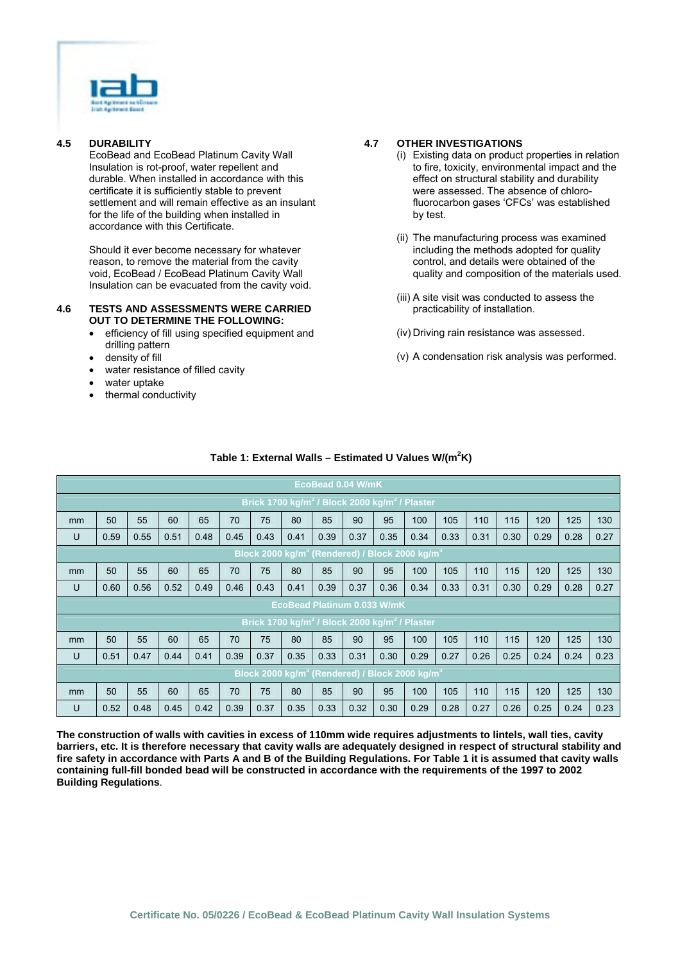

# **4.5 DURABILITY**

EcoBead and EcoBead Platinum Cavity Wall Insulation is rot-proof, water repellent and durable. When installed in accordance with this certificate it is sufficiently stable to prevent settlement and will remain effective as an insulant for the life of the building when installed in accordance with this Certificate.

Should it ever become necessary for whatever reason, to remove the material from the cavity void, EcoBead / EcoBead Platinum Cavity Wall Insulation can be evacuated from the cavity void.

#### **4.6 TESTS AND ASSESSMENTS WERE CARRIED OUT TO DETERMINE THE FOLLOWING:**

- efficiency of fill using specified equipment and drilling pattern
- density of fill
- water resistance of filled cavity
- water uptake
- thermal conductivity

# **4.7 OTHER INVESTIGATIONS**

- (i) Existing data on product properties in relation to fire, toxicity, environmental impact and the effect on structural stability and durability were assessed. The absence of chlorofluorocarbon gases 'CFCs' was established by test.
- (ii) The manufacturing process was examined including the methods adopted for quality control, and details were obtained of the quality and composition of the materials used.
- (iii) A site visit was conducted to assess the practicability of installation.
- (iv) Driving rain resistance was assessed.
- (v) A condensation risk analysis was performed.

|                                                                       | EcoBead 0.04 W/mK                                                      |      |      |      |      |      |      |      |      |      |                                                                        |      |      |      |      |      |      |
|-----------------------------------------------------------------------|------------------------------------------------------------------------|------|------|------|------|------|------|------|------|------|------------------------------------------------------------------------|------|------|------|------|------|------|
| Brick 1700 kg/m <sup>3</sup> / Block 2000 kg/m <sup>3</sup> / Plaster |                                                                        |      |      |      |      |      |      |      |      |      |                                                                        |      |      |      |      |      |      |
| <sub>mm</sub>                                                         | 50                                                                     | 55   | 60   | 65   | 70   | 75   | 80   | 85   | 90   | 95   | 100                                                                    | 105  | 110  | 115  | 120  | 125  | 130  |
| U                                                                     | 0.59                                                                   | 0.55 | 0.51 | 0.48 | 0.45 | 0.43 | 0.41 | 0.39 | 0.37 | 0.35 | 0.34                                                                   | 0.33 | 0.31 | 0.30 | 0.29 | 0.28 | 0.27 |
|                                                                       | Block 2000 kg/m <sup>3</sup> (Rendered) / Block 2000 kg/m <sup>3</sup> |      |      |      |      |      |      |      |      |      |                                                                        |      |      |      |      |      |      |
| mm                                                                    | 50                                                                     | 55   | 60   | 65   | 70   | 75   | 80   | 85   | 90   | 95   | 100                                                                    | 105  | 110  | 115  | 120  | 125  | 130  |
| U                                                                     | 0.60                                                                   | 0.56 | 0.52 | 0.49 | 0.46 | 0.43 | 0.41 | 0.39 | 0.37 | 0.36 | 0.34                                                                   | 0.33 | 0.31 | 0.30 | 0.29 | 0.28 | 0.27 |
| <b>EcoBead Platinum 0.033 W/mK</b>                                    |                                                                        |      |      |      |      |      |      |      |      |      |                                                                        |      |      |      |      |      |      |
| Brick 1700 kg/m <sup>3</sup> / Block 2000 kg/m <sup>3</sup> / Plaster |                                                                        |      |      |      |      |      |      |      |      |      |                                                                        |      |      |      |      |      |      |
| <sub>mm</sub>                                                         | 50                                                                     | 55   | 60   | 65   | 70   | 75   | 80   | 85   | 90   | 95   | 100                                                                    | 105  | 110  | 115  | 120  | 125  | 130  |
| U                                                                     | 0.51                                                                   | 0.47 | 0.44 | 0.41 | 0.39 | 0.37 | 0.35 | 0.33 | 0.31 | 0.30 | 0.29                                                                   | 0.27 | 0.26 | 0.25 | 0.24 | 0.24 | 0.23 |
|                                                                       |                                                                        |      |      |      |      |      |      |      |      |      | Block 2000 kg/m <sup>3</sup> (Rendered) / Block 2000 kg/m <sup>3</sup> |      |      |      |      |      |      |
| mm                                                                    | 50                                                                     | 55   | 60   | 65   | 70   | 75   | 80   | 85   | 90   | 95   | 100                                                                    | 105  | 110  | 115  | 120  | 125  | 130  |
| U                                                                     | 0.52                                                                   | 0.48 | 0.45 | 0.42 | 0.39 | 0.37 | 0.35 | 0.33 | 0.32 | 0.30 | 0.29                                                                   | 0.28 | 0.27 | 0.26 | 0.25 | 0.24 | 0.23 |

# **Table 1: External Walls – Estimated U Values W/(m2 K)**

**The construction of walls with cavities in excess of 110mm wide requires adjustments to lintels, wall ties, cavity barriers, etc. It is therefore necessary that cavity walls are adequately designed in respect of structural stability and fire safety in accordance with Parts A and B of the Building Regulations. For Table 1 it is assumed that cavity walls containing full-fill bonded bead will be constructed in accordance with the requirements of the 1997 to 2002 Building Regulations**.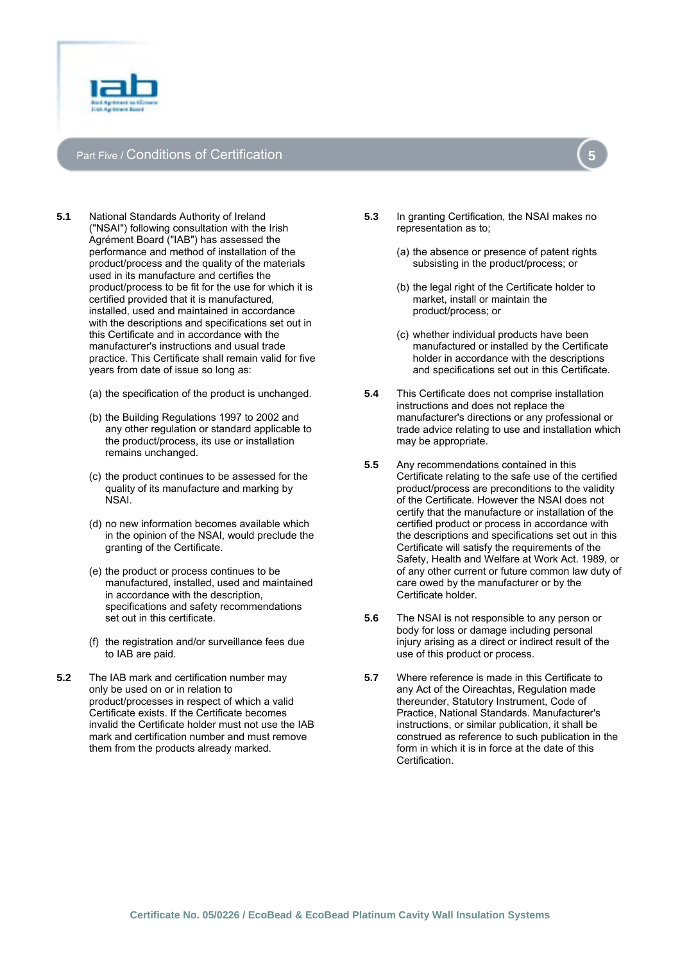

# Part Five / Conditions of Certification



- (a) the specification of the product is unchanged.
- (b) the Building Regulations 1997 to 2002 and any other regulation or standard applicable to the product/process, its use or installation remains unchanged.
- (c) the product continues to be assessed for the quality of its manufacture and marking by NSAI.
- (d) no new information becomes available which in the opinion of the NSAI, would preclude the granting of the Certificate.
- (e) the product or process continues to be manufactured, installed, used and maintained in accordance with the description, specifications and safety recommendations set out in this certificate.
- (f) the registration and/or surveillance fees due to IAB are paid.
- **5.2** The IAB mark and certification number may only be used on or in relation to product/processes in respect of which a valid Certificate exists. If the Certificate becomes invalid the Certificate holder must not use the IAB mark and certification number and must remove them from the products already marked.
- **5.3** In granting Certification, the NSAI makes no representation as to;
	- (a) the absence or presence of patent rights subsisting in the product/process; or
	- (b) the legal right of the Certificate holder to market, install or maintain the product/process; or
	- (c) whether individual products have been manufactured or installed by the Certificate holder in accordance with the descriptions and specifications set out in this Certificate.
- **5.4** This Certificate does not comprise installation instructions and does not replace the manufacturer's directions or any professional or trade advice relating to use and installation which may be appropriate.
- **5.5** Any recommendations contained in this Certificate relating to the safe use of the certified product/process are preconditions to the validity of the Certificate. However the NSAI does not certify that the manufacture or installation of the certified product or process in accordance with the descriptions and specifications set out in this Certificate will satisfy the requirements of the Safety, Health and Welfare at Work Act. 1989, or of any other current or future common law duty of care owed by the manufacturer or by the Certificate holder.
- **5.6** The NSAI is not responsible to any person or body for loss or damage including personal injury arising as a direct or indirect result of the use of this product or process.
- **5.7** Where reference is made in this Certificate to any Act of the Oireachtas, Regulation made thereunder, Statutory Instrument, Code of Practice, National Standards. Manufacturer's instructions, or similar publication, it shall be construed as reference to such publication in the form in which it is in force at the date of this Certification.